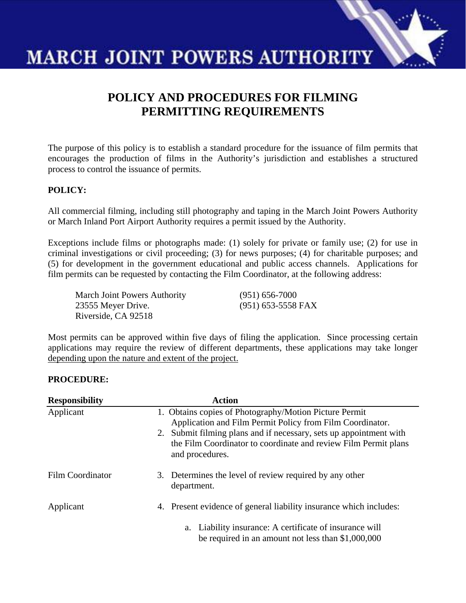

# **POLICY AND PROCEDURES FOR FILMING PERMITTING REQUIREMENTS**

The purpose of this policy is to establish a standard procedure for the issuance of film permits that encourages the production of films in the Authority's jurisdiction and establishes a structured process to control the issuance of permits.

## **POLICY:**

All commercial filming, including still photography and taping in the March Joint Powers Authority or March Inland Port Airport Authority requires a permit issued by the Authority.

Exceptions include films or photographs made: (1) solely for private or family use; (2) for use in criminal investigations or civil proceeding; (3) for news purposes; (4) for charitable purposes; and (5) for development in the government educational and public access channels. Applications for film permits can be requested by contacting the Film Coordinator, at the following address:

March Joint Powers Authority (951) 656-7000 23555 Meyer Drive. (951) 653-5558 FAX Riverside, CA 92518

Most permits can be approved within five days of filing the application. Since processing certain applications may require the review of different departments, these applications may take longer depending upon the nature and extent of the project.

### **PROCEDURE:**

| <b>Responsibility</b> | <b>Action</b>                                                                                                                                                                                                                                                                   |
|-----------------------|---------------------------------------------------------------------------------------------------------------------------------------------------------------------------------------------------------------------------------------------------------------------------------|
| Applicant             | 1. Obtains copies of Photography/Motion Picture Permit<br>Application and Film Permit Policy from Film Coordinator.<br>2. Submit filming plans and if necessary, sets up appointment with<br>the Film Coordinator to coordinate and review Film Permit plans<br>and procedures. |
| Film Coordinator      | 3. Determines the level of review required by any other<br>department.                                                                                                                                                                                                          |
| Applicant             | 4. Present evidence of general liability insurance which includes:                                                                                                                                                                                                              |
|                       | a. Liability insurance: A certificate of insurance will<br>be required in an amount not less than $$1,000,000$                                                                                                                                                                  |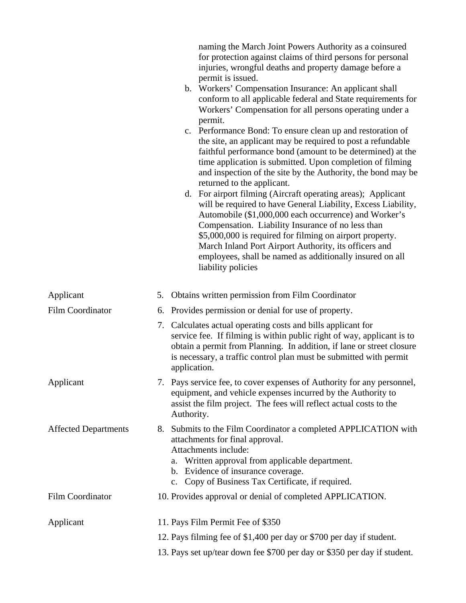|                             | naming the March Joint Powers Authority as a coinsured<br>for protection against claims of third persons for personal<br>injuries, wrongful deaths and property damage before a<br>permit is issued.<br>b. Workers' Compensation Insurance: An applicant shall<br>conform to all applicable federal and State requirements for<br>Workers' Compensation for all persons operating under a<br>permit.<br>c. Performance Bond: To ensure clean up and restoration of<br>the site, an applicant may be required to post a refundable<br>faithful performance bond (amount to be determined) at the<br>time application is submitted. Upon completion of filming<br>and inspection of the site by the Authority, the bond may be<br>returned to the applicant.<br>d. For airport filming (Aircraft operating areas); Applicant<br>will be required to have General Liability, Excess Liability,<br>Automobile (\$1,000,000 each occurrence) and Worker's<br>Compensation. Liability Insurance of no less than<br>\$5,000,000 is required for filming on airport property.<br>March Inland Port Airport Authority, its officers and<br>employees, shall be named as additionally insured on all<br>liability policies |  |  |
|-----------------------------|------------------------------------------------------------------------------------------------------------------------------------------------------------------------------------------------------------------------------------------------------------------------------------------------------------------------------------------------------------------------------------------------------------------------------------------------------------------------------------------------------------------------------------------------------------------------------------------------------------------------------------------------------------------------------------------------------------------------------------------------------------------------------------------------------------------------------------------------------------------------------------------------------------------------------------------------------------------------------------------------------------------------------------------------------------------------------------------------------------------------------------------------------------------------------------------------------------------|--|--|
| Applicant                   | Obtains written permission from Film Coordinator<br>5.                                                                                                                                                                                                                                                                                                                                                                                                                                                                                                                                                                                                                                                                                                                                                                                                                                                                                                                                                                                                                                                                                                                                                           |  |  |
| <b>Film Coordinator</b>     | Provides permission or denial for use of property.<br>6.                                                                                                                                                                                                                                                                                                                                                                                                                                                                                                                                                                                                                                                                                                                                                                                                                                                                                                                                                                                                                                                                                                                                                         |  |  |
|                             | 7. Calculates actual operating costs and bills applicant for<br>service fee. If filming is within public right of way, applicant is to<br>obtain a permit from Planning. In addition, if lane or street closure<br>is necessary, a traffic control plan must be submitted with permit<br>application.                                                                                                                                                                                                                                                                                                                                                                                                                                                                                                                                                                                                                                                                                                                                                                                                                                                                                                            |  |  |
| Applicant                   | 7. Pays service fee, to cover expenses of Authority for any personnel,<br>equipment, and vehicle expenses incurred by the Authority to<br>assist the film project. The fees will reflect actual costs to the<br>Authority.                                                                                                                                                                                                                                                                                                                                                                                                                                                                                                                                                                                                                                                                                                                                                                                                                                                                                                                                                                                       |  |  |
| <b>Affected Departments</b> | 8. Submits to the Film Coordinator a completed APPLICATION with<br>attachments for final approval.<br>Attachments include:<br>a. Written approval from applicable department.<br>b. Evidence of insurance coverage.<br>c. Copy of Business Tax Certificate, if required.                                                                                                                                                                                                                                                                                                                                                                                                                                                                                                                                                                                                                                                                                                                                                                                                                                                                                                                                         |  |  |
| Film Coordinator            | 10. Provides approval or denial of completed APPLICATION.                                                                                                                                                                                                                                                                                                                                                                                                                                                                                                                                                                                                                                                                                                                                                                                                                                                                                                                                                                                                                                                                                                                                                        |  |  |
| Applicant                   | 11. Pays Film Permit Fee of \$350                                                                                                                                                                                                                                                                                                                                                                                                                                                                                                                                                                                                                                                                                                                                                                                                                                                                                                                                                                                                                                                                                                                                                                                |  |  |
|                             | 12. Pays filming fee of \$1,400 per day or \$700 per day if student.                                                                                                                                                                                                                                                                                                                                                                                                                                                                                                                                                                                                                                                                                                                                                                                                                                                                                                                                                                                                                                                                                                                                             |  |  |
|                             | 13. Pays set up/tear down fee \$700 per day or \$350 per day if student.                                                                                                                                                                                                                                                                                                                                                                                                                                                                                                                                                                                                                                                                                                                                                                                                                                                                                                                                                                                                                                                                                                                                         |  |  |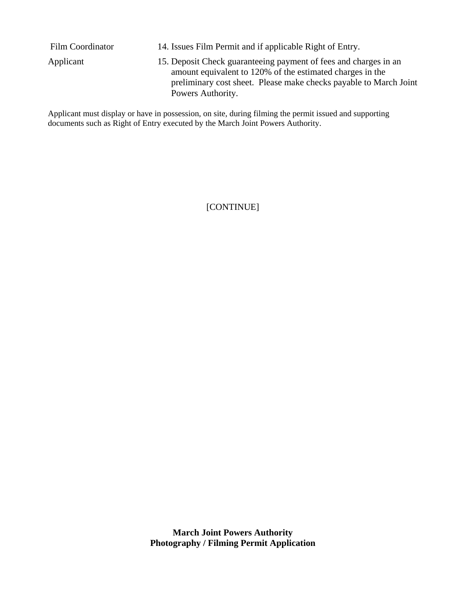| Film Coordinator | 14. Issues Film Permit and if applicable Right of Entry.                                                                                                                                                                |
|------------------|-------------------------------------------------------------------------------------------------------------------------------------------------------------------------------------------------------------------------|
| Applicant        | 15. Deposit Check guaranteeing payment of fees and charges in an<br>amount equivalent to 120% of the estimated charges in the<br>preliminary cost sheet. Please make checks payable to March Joint<br>Powers Authority. |

Applicant must display or have in possession, on site, during filming the permit issued and supporting documents such as Right of Entry executed by the March Joint Powers Authority.

[CONTINUE]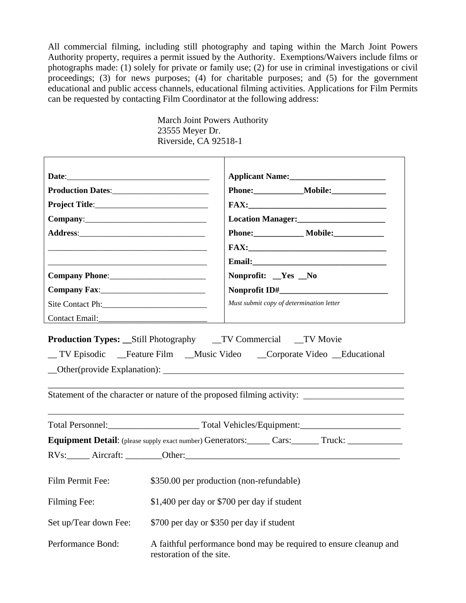All commercial filming, including still photography and taping within the March Joint Powers Authority property, requires a permit issued by the Authority. Exemptions/Waivers include films or photographs made: (1) solely for private or family use; (2) for use in criminal investigations or civil proceedings; (3) for news purposes; (4) for charitable purposes; and (5) for the government educational and public access channels, educational filming activities. Applications for Film Permits can be requested by contacting Film Coordinator at the following address:

> March Joint Powers Authority 23555 Meyer Dr. Riverside, CA 92518-1

|                                                                                                                       | Location Manager:<br><u>Location Manager:</u>                                                                                                                                      |  |  |
|-----------------------------------------------------------------------------------------------------------------------|------------------------------------------------------------------------------------------------------------------------------------------------------------------------------------|--|--|
|                                                                                                                       | Phone: _______________ Mobile: _____________                                                                                                                                       |  |  |
| <u> 1989 - Johann Stoff, deutscher Stoff, der Stoff, der Stoff, der Stoff, der Stoff, der Stoff, der Stoff, der S</u> |                                                                                                                                                                                    |  |  |
|                                                                                                                       |                                                                                                                                                                                    |  |  |
|                                                                                                                       | Nonprofit: _Yes _No                                                                                                                                                                |  |  |
|                                                                                                                       |                                                                                                                                                                                    |  |  |
|                                                                                                                       | Must submit copy of determination letter                                                                                                                                           |  |  |
| Contact Email:                                                                                                        |                                                                                                                                                                                    |  |  |
|                                                                                                                       | _ TV Episodic __Feature Film __Music Video __Corporate Video __Educational<br>Statement of the character or nature of the proposed filming activity: _____________________________ |  |  |
|                                                                                                                       |                                                                                                                                                                                    |  |  |
|                                                                                                                       |                                                                                                                                                                                    |  |  |
|                                                                                                                       | RVs: Aircraft: Other: Chemical Communication Ave.                                                                                                                                  |  |  |
| Film Permit Fee:<br>\$350.00 per production (non-refundable)                                                          |                                                                                                                                                                                    |  |  |
| \$1,400 per day or \$700 per day if student<br>Filming Fee:                                                           |                                                                                                                                                                                    |  |  |
| \$700 per day or \$350 per day if student<br>Set up/Tear down Fee:                                                    |                                                                                                                                                                                    |  |  |
| Performance Bond:<br>A faithful performance bond may be required to ensure cleanup and<br>restoration of the site.    |                                                                                                                                                                                    |  |  |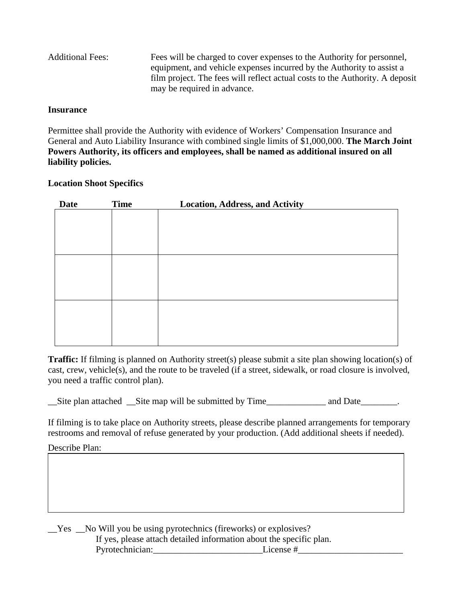| <b>Additional Fees:</b> | Fees will be charged to cover expenses to the Authority for personnel,       |
|-------------------------|------------------------------------------------------------------------------|
|                         | equipment, and vehicle expenses incurred by the Authority to assist a        |
|                         | film project. The fees will reflect actual costs to the Authority. A deposit |
|                         | may be required in advance.                                                  |

#### **Insurance**

Permittee shall provide the Authority with evidence of Workers' Compensation Insurance and General and Auto Liability Insurance with combined single limits of \$1,000,000. **The March Joint Powers Authority, its officers and employees, shall be named as additional insured on all liability policies.** 

### **Location Shoot Specifics**

| <b>Date</b> | <b>Time</b> | <b>Location, Address, and Activity</b> |
|-------------|-------------|----------------------------------------|
|             |             |                                        |
|             |             |                                        |
|             |             |                                        |
|             |             |                                        |
|             |             |                                        |
|             |             |                                        |
|             |             |                                        |
|             |             |                                        |
|             |             |                                        |
|             |             |                                        |
|             |             |                                        |
|             |             |                                        |

**Traffic:** If filming is planned on Authority street(s) please submit a site plan showing location(s) of cast, crew, vehicle(s), and the route to be traveled (if a street, sidewalk, or road closure is involved, you need a traffic control plan).

\_\_Site plan attached \_\_Site map will be submitted by Time\_\_\_\_\_\_\_\_\_\_\_\_\_ and Date\_\_\_\_\_\_\_\_.

If filming is to take place on Authority streets, please describe planned arrangements for temporary restrooms and removal of refuse generated by your production. (Add additional sheets if needed).

Describe Plan:

\_\_Yes \_\_No Will you be using pyrotechnics (fireworks) or explosives? If yes, please attach detailed information about the specific plan. Pyrotechnician: License #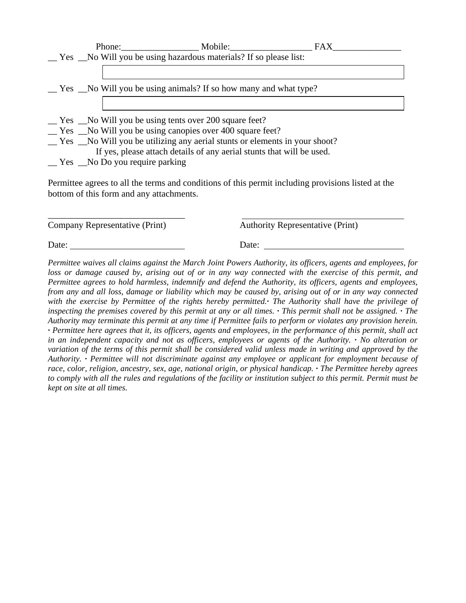|                                                 | Phone: Mobile:                                                                 | <b>FAX</b>                                                                                         |
|-------------------------------------------------|--------------------------------------------------------------------------------|----------------------------------------------------------------------------------------------------|
|                                                 | _Yes _No Will you be using hazardous materials? If so please list:             |                                                                                                    |
|                                                 |                                                                                |                                                                                                    |
|                                                 | $\leq$ Yes $\leq$ No Will you be using animals? If so how many and what type?  |                                                                                                    |
|                                                 |                                                                                |                                                                                                    |
|                                                 | No Will you be using tents over 200 square feet?                               |                                                                                                    |
|                                                 | No Will you be using canopies over 400 square feet?                            |                                                                                                    |
|                                                 | __ Yes __No Will you be utilizing any aerial stunts or elements in your shoot? |                                                                                                    |
|                                                 | If yes, please attach details of any aerial stunts that will be used.          |                                                                                                    |
| $\equiv$ Yes $\equiv$ No Do you require parking |                                                                                |                                                                                                    |
|                                                 |                                                                                | Permittee agrees to all the terms and conditions of this permit including provisions listed at the |

bottom of this form and any attachments.

\_\_\_\_\_\_\_\_\_\_\_\_\_\_\_\_\_\_\_\_\_\_\_\_\_\_\_\_\_\_

Company Representative (Print) Authority Representative (Print)

Date: Date: Date: Date: Date: Date: Date: Date: Date: Date: Date: Date: Date: Date: Date: Date: Date: Date: Date: Date: Date: Date: Date: Date: Date: Date: Date: Date: Date: Date: Date: Date: Date: Date: Date: Date: Date:

*Permittee waives all claims against the March Joint Powers Authority, its officers, agents and employees, for loss or damage caused by, arising out of or in any way connected with the exercise of this permit, and Permittee agrees to hold harmless, indemnify and defend the Authority, its officers, agents and employees, from any and all loss, damage or liability which may be caused by, arising out of or in any way connected with the exercise by Permittee of the rights hereby permitted.· The Authority shall have the privilege of inspecting the premises covered by this permit at any or all times.*  $\cdot$  *This permit shall not be assigned.*  $\cdot$  *The Authority may terminate this permit at any time if Permittee fails to perform or violates any provision herein. · Permittee here agrees that it, its officers, agents and employees, in the performance of this permit, shall act in an independent capacity and not as officers, employees or agents of the Authority. · No alteration or variation of the terms of this permit shall be considered valid unless made in writing and approved by the Authority. · Permittee will not discriminate against any employee or applicant for employment because of race, color, religion, ancestry, sex, age, national origin, or physical handicap. · The Permittee hereby agrees to comply with all the rules and regulations of the facility or institution subject to this permit. Permit must be kept on site at all times.*